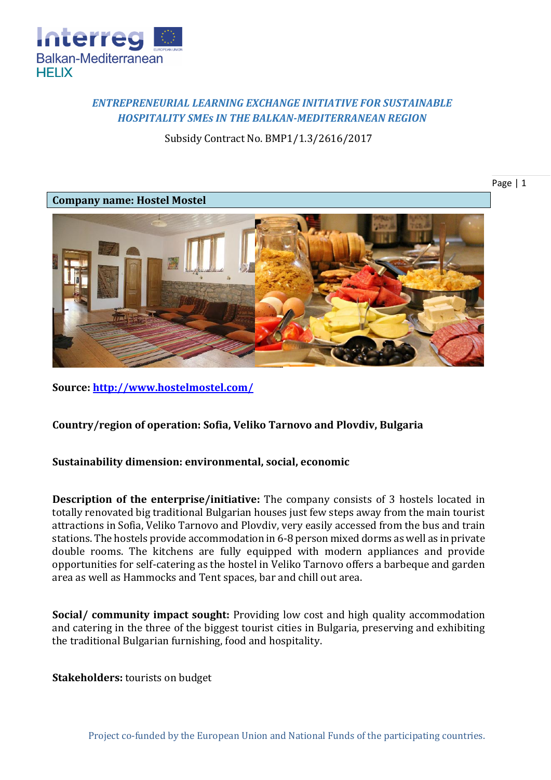

## *ENTREPRENEURIAL LEARNING EXCHANGE INITIATIVE FOR SUSTAINABLE HOSPITALITY SMEs IN THE BALKAN-MEDITERRANEAN REGION*

Subsidy Contract No. BMP1/1.3/2616/2017

Page | 1

## **Company name: Hostel Mostel**



**Source:<http://www.hostelmostel.com/>**

## **Country/region of operation: Sofia, Veliko Tarnovo and Plovdiv, Bulgaria**

## **Sustainability dimension: environmental, social, economic**

**Description of the enterprise/initiative:** The company consists of 3 hostels located in totally renovated big traditional Bulgarian houses just few steps away from the main tourist attractions in Sofia, Veliko Tarnovo and Plovdiv, very easily accessed from the bus and train stations. The hostels provide accommodation in 6-8 person mixed dorms as well as in private double rooms. The kitchens are fully equipped with modern appliances and provide opportunities for self-catering as the hostel in Veliko Tarnovo offers a barbeque and garden area as well as Hammocks and Tent spaces, bar and chill out area.

**Social/ community impact sought:** Providing low cost and high quality accommodation and catering in the three of the biggest tourist cities in Bulgaria, preserving and exhibiting the traditional Bulgarian furnishing, food and hospitality.

**Stakeholders:** tourists on budget